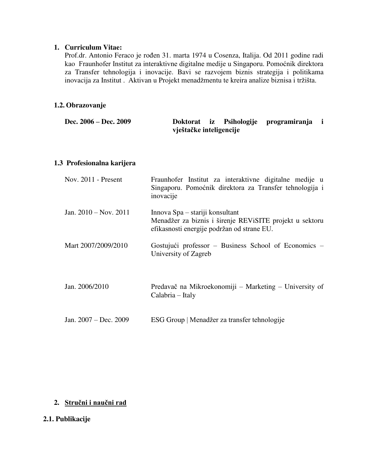#### **1. Curriculum Vitae:**

Prof.dr. Antonio Feraco je rođen 31. marta 1974 u Cosenza, Italija. Od 2011 godine radi kao Fraunhofer Institut za interaktivne digitalne medije u Singaporu. Pomoćnik direktora za Transfer tehnologija i inovacije. Bavi se razvojem biznis strategija i politikama inovacija za Institut . Aktivan u Projekt menadžmentu te kreira analize biznisa i tržišta.

### **1.2. Obrazovanje**

| Dec. 2006 – Dec. 2009 |                         |  |  | Doktorat iz Psihologije programiranja i |  |
|-----------------------|-------------------------|--|--|-----------------------------------------|--|
|                       | vještačke inteligencije |  |  |                                         |  |

#### **1.3 Profesionalna karijera**

| Nov. $2011$ - Present   | Fraunhofer Institut za interaktivne digitalne medije u<br>Singaporu. Pomoćnik direktora za Transfer tehnologija i<br>inovacije           |
|-------------------------|------------------------------------------------------------------------------------------------------------------------------------------|
| Jan. $2010 - Nov. 2011$ | Innova Spa – stariji konsultant<br>Menadžer za biznis i širenje REVISITE projekt u sektoru<br>efikasnosti energije podržan od strane EU. |
| Mart 2007/2009/2010     | Gostujući professor – Business School of Economics –<br>University of Zagreb                                                             |
| Jan. 2006/2010          | Predavač na Mikroekonomiji – Marketing – University of<br>Calabria – Italy                                                               |
| Jan. $2007 - Dec. 2009$ | ESG Group   Menadžer za transfer tehnologije                                                                                             |

## **2. Stručni i naučni rad**

## **2.1. Publikacije**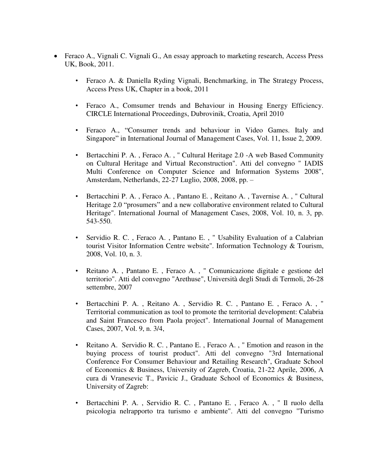- Feraco A., Vignali C. Vignali G., An essay approach to marketing research, Access Press UK, Book, 2011.
	- Feraco A. & Daniella Ryding Vignali, Benchmarking, in The Strategy Process, Access Press UK, Chapter in a book, 2011
	- Feraco A., Comsumer trends and Behaviour in Housing Energy Efficiency. CIRCLE International Proceedings, Dubrovinik, Croatia, April 2010
	- Feraco A., "Consumer trends and behaviour in Video Games. Italy and Singapore" in International Journal of Management Cases, Vol. 11, Issue 2, 2009.
	- Bertacchini P. A. , Feraco A. , " Cultural Heritage 2.0 -A web Based Community on Cultural Heritage and Virtual Reconstruction". Atti del convegno " IADIS Multi Conference on Computer Science and Information Systems 2008", Amsterdam, Netherlands, 22-27 Luglio, 2008, 2008, pp. –
	- Bertacchini P. A. , Feraco A. , Pantano E. , Reitano A. , Tavernise A. , " Cultural Heritage 2.0 "prosumers" and a new collaborative environment related to Cultural Heritage". International Journal of Management Cases, 2008, Vol. 10, n. 3, pp. 543-550.
	- Servidio R. C. , Feraco A. , Pantano E. , " Usability Evaluation of a Calabrian tourist Visitor Information Centre website". Information Technology & Tourism, 2008, Vol. 10, n. 3.
	- Reitano A. , Pantano E. , Feraco A. , " Comunicazione digitale e gestione del territorio". Atti del convegno "Arethuse", Università degli Studi di Termoli, 26-28 settembre, 2007
	- Bertacchini P. A. , Reitano A. , Servidio R. C. , Pantano E. , Feraco A. , " Territorial communication as tool to promote the territorial development: Calabria and Saint Francesco from Paola project". International Journal of Management Cases, 2007, Vol. 9, n. 3/4,
	- Reitano A. Servidio R. C. , Pantano E. , Feraco A. , " Emotion and reason in the buying process of tourist product". Atti del convegno "3rd International Conference For Consumer Behaviour and Retailing Research", Graduate School of Economics & Business, University of Zagreb, Croatia, 21-22 Aprile, 2006, A cura di Vranesevic T., Pavicic J., Graduate School of Economics & Business, University of Zagreb:
	- Bertacchini P. A. , Servidio R. C. , Pantano E. , Feraco A. , " Il ruolo della psicologia nelrapporto tra turismo e ambiente". Atti del convegno "Turismo